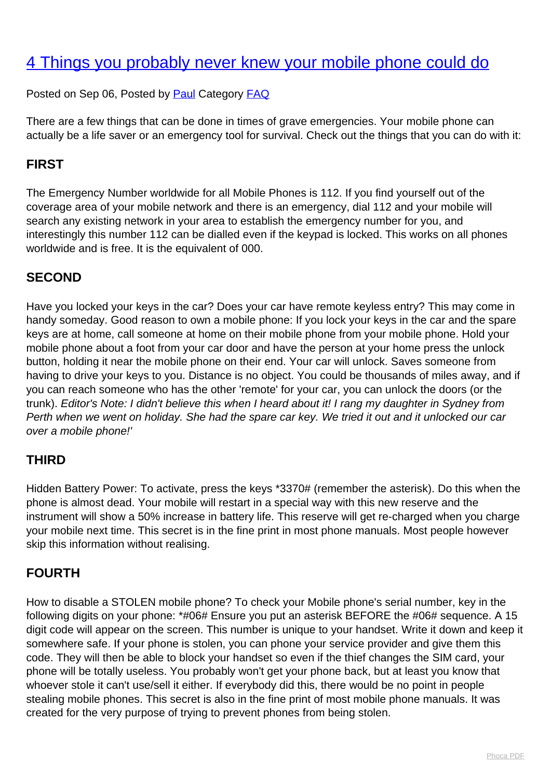# [4 Things you probably never knew your mobile phone could do](http://www.computerdoctor.com.au/news/4-things-you-probably-never-knew-your-mobile-phone-could-do)

Posted on Sep 06, Posted by [Paul](http://www.computerdoctor.com.au/news/blogger/listings/paul) Category [FAQ](http://www.computerdoctor.com.au/news/categories/frequently-asked-questions)

There are a few things that can be done in times of grave emergencies. Your mobile phone can actually be a life saver or an emergency tool for survival. Check out the things that you can do with it:

# **FIRST**

The Emergency Number worldwide for all Mobile Phones is 112. If you find yourself out of the coverage area of your mobile network and there is an emergency, dial 112 and your mobile will search any existing network in your area to establish the emergency number for you, and interestingly this number 112 can be dialled even if the keypad is locked. This works on all phones worldwide and is free. It is the equivalent of 000.

# **SECOND**

Have you locked your keys in the car? Does your car have remote keyless entry? This may come in handy someday. Good reason to own a mobile phone: If you lock your keys in the car and the spare keys are at home, call someone at home on their mobile phone from your mobile phone. Hold your mobile phone about a foot from your car door and have the person at your home press the unlock button, holding it near the mobile phone on their end. Your car will unlock. Saves someone from having to drive your keys to you. Distance is no object. You could be thousands of miles away, and if you can reach someone who has the other 'remote' for your car, you can unlock the doors (or the trunk). Editor's Note: I didn't believe this when I heard about it! I rang my daughter in Sydney from Perth when we went on holiday. She had the spare car key. We tried it out and it unlocked our car over a mobile phone!'

### **THIRD**

Hidden Battery Power: To activate, press the keys \*3370# (remember the asterisk). Do this when the phone is almost dead. Your mobile will restart in a special way with this new reserve and the instrument will show a 50% increase in battery life. This reserve will get re-charged when you charge your mobile next time. This secret is in the fine print in most phone manuals. Most people however skip this information without realising.

### **FOURTH**

How to disable a STOLEN mobile phone? To check your Mobile phone's serial number, key in the following digits on your phone: \*#06# Ensure you put an asterisk BEFORE the #06# sequence. A 15 digit code will appear on the screen. This number is unique to your handset. Write it down and keep it somewhere safe. If your phone is stolen, you can phone your service provider and give them this code. They will then be able to block your handset so even if the thief changes the SIM card, your phone will be totally useless. You probably won't get your phone back, but at least you know that whoever stole it can't use/sell it either. If everybody did this, there would be no point in people stealing mobile phones. This secret is also in the fine print of most mobile phone manuals. It was created for the very purpose of trying to prevent phones from being stolen.